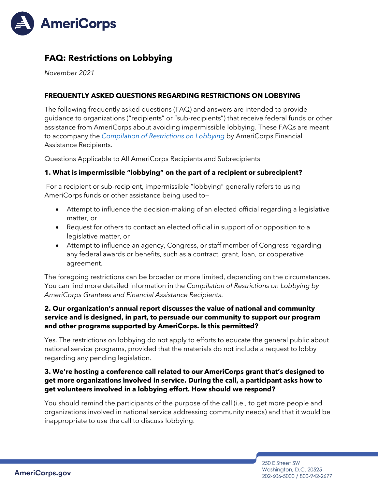

# **FAQ: Restrictions on Lobbying**

*November 2021*

### **FREQUENTLY ASKED QUESTIONS REGARDING RESTRICTIONS ON LOBBYING**

The following frequently asked questions (FAQ) and answers are intended to provide guidance to organizations ("recipients" or "sub-recipients") that receive federal funds or other assistance from AmeriCorps about avoiding impermissible lobbying. These FAQs are meant to accompany the *[Compilation of Restrictions on Lobbying](https://americorps.gov/sites/default/files/document/americorps-restrictions-lobbying-11-2021.pdf)* by AmeriCorps Financial Assistance Recipients.

Questions Applicable to All AmeriCorps Recipients and Subrecipients

#### **1. What is impermissible "lobbying" on the part of a recipient or subrecipient?**

For a recipient or sub-recipient, impermissible "lobbying" generally refers to using AmeriCorps funds or other assistance being used to—

- Attempt to influence the decision-making of an elected official regarding a legislative matter, or
- Request for others to contact an elected official in support of or opposition to a legislative matter, or
- Attempt to influence an agency, Congress, or staff member of Congress regarding any federal awards or benefits, such as a contract, grant, loan, or cooperative agreement.

The foregoing restrictions can be broader or more limited, depending on the circumstances. You can find more detailed information in the *Compilation of Restrictions on Lobbying by AmeriCorps Grantees and Financial Assistance Recipients*.

### **2. Our organization's annual report discusses the value of national and community service and is designed, in part, to persuade our community to support our program and other programs supported by AmeriCorps. Is this permitted?**

Yes. The restrictions on lobbying do not apply to efforts to educate the general public about national service programs, provided that the materials do not include a request to lobby regarding any pending legislation.

### **3. We're hosting a conference call related to our AmeriCorps grant that's designed to get more organizations involved in service. During the call, a participant asks how to get volunteers involved in a lobbying effort. How should we respond?**

You should remind the participants of the purpose of the call (i.e., to get more people and organizations involved in national service addressing community needs) and that it would be inappropriate to use the call to discuss lobbying.

> 250 E Street SW Washington, D.C. 20525 202-606-5000 / 800-942-2677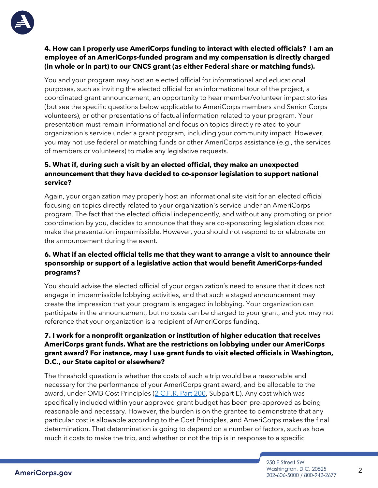

### **4. How can I properly use AmeriCorps funding to interact with elected officials? I am an employee of an AmeriCorps-funded program and my compensation is directly charged (in whole or in part) to our CNCS grant (as either Federal share or matching funds).**

You and your program may host an elected official for informational and educational purposes, such as inviting the elected official for an informational tour of the project, a coordinated grant announcement, an opportunity to hear member/volunteer impact stories (but see the specific questions below applicable to AmeriCorps members and Senior Corps volunteers), or other presentations of factual information related to your program. Your presentation must remain informational and focus on topics directly related to your organization's service under a grant program, including your community impact. However, you may not use federal or matching funds or other AmeriCorps assistance (e.g., the services of members or volunteers) to make any legislative requests.

### **5. What if, during such a visit by an elected official, they make an unexpected announcement that they have decided to co-sponsor legislation to support national service?**

Again, your organization may properly host an informational site visit for an elected official focusing on topics directly related to your organization's service under an AmeriCorps program. The fact that the elected official independently, and without any prompting or prior coordination by you, decides to announce that they are co-sponsoring legislation does not make the presentation impermissible. However, you should not respond to or elaborate on the announcement during the event.

# **6. What if an elected official tells me that they want to arrange a visit to announce their sponsorship or support of a legislative action that would benefit AmeriCorps-funded programs?**

You should advise the elected official of your organization's need to ensure that it does not engage in impermissible lobbying activities, and that such a staged announcement may create the impression that your program is engaged in lobbying. Your organization can participate in the announcement, but no costs can be charged to your grant, and you may not reference that your organization is a recipient of AmeriCorps funding.

# **7. I work for a nonprofit organization or institution of higher education that receives AmeriCorps grant funds. What are the restrictions on lobbying under our AmeriCorps grant award? For instance, may I use grant funds to visit elected officials in Washington, D.C., our State capitol or elsewhere?**

The threshold question is whether the costs of such a trip would be a reasonable and necessary for the performance of your AmeriCorps grant award, and be allocable to the award, under OMB Cost Principles [\(2 C.F.R. Part 200,](http://www.gpo.gov/fdsys/pkg/CFR-2014-title2-vol1/pdf/CFR-2014-title2-vol1-part200.pdf) Subpart E). Any cost which was specifically included within your approved grant budget has been pre-approved as being reasonable and necessary. However, the burden is on the grantee to demonstrate that any particular cost is allowable according to the Cost Principles, and AmeriCorps makes the final determination. That determination is going to depend on a number of factors, such as how much it costs to make the trip, and whether or not the trip is in response to a specific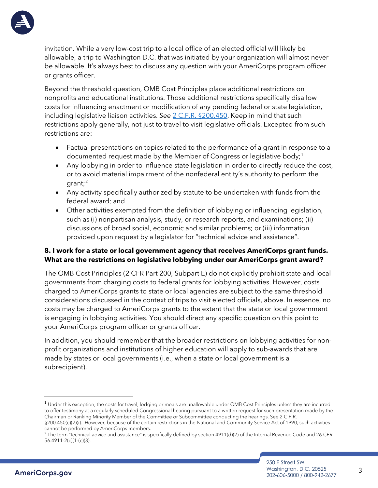

<span id="page-2-1"></span>**AmeriCorps.gov** 

invitation. While a very low-cost trip to a local office of an elected official will likely be allowable, a trip to Washington D.C. that was initiated by your organization will almost never be allowable. It's always best to discuss any question with your AmeriCorps program officer or grants officer.

Beyond the threshold question, OMB Cost Principles place additional restrictions on nonprofits and educational institutions. Those additional restrictions specifically disallow costs for influencing enactment or modification of any pending federal or state legislation, including legislative liaison activities. *See* [2 C.F.R. §200.450.](http://www.ecfr.gov/cgi-bin/text-idx?SID=e86270dcaf43acb652a18da10dca2a8c&mc=true&node=pt2.1.200&rgn=div5%20-%20se2.1.200_1450#se2.1.200_1450) Keep in mind that such restrictions apply generally, not just to travel to visit legislative officials. Excepted from such restrictions are:

- Factual presentations on topics related to the performance of a grant in response to a documented request made by the Member of Congress or legislative body; $^{\scriptscriptstyle 1}$  $^{\scriptscriptstyle 1}$  $^{\scriptscriptstyle 1}$
- Any lobbying in order to influence state legislation in order to directly reduce the cost, or to avoid material impairment of the nonfederal entity's authority to perform the grant; $^2$  $^2$
- Any activity specifically authorized by statute to be undertaken with funds from the federal award; and
- Other activities exempted from the definition of lobbying or influencing legislation, such as (i) nonpartisan analysis, study, or research reports, and examinations; (ii) discussions of broad social, economic and similar problems; or (iii) information provided upon request by a legislator for "technical advice and assistance".

### **8. I work for a state or local government agency that receives AmeriCorps grant funds. What are the restrictions on legislative lobbying under our AmeriCorps grant award?**

The OMB Cost Principles (2 CFR Part 200, Subpart E) do not explicitly prohibit state and local governments from charging costs to federal grants for lobbying activities. However, costs charged to AmeriCorps grants to state or local agencies are subject to the same threshold considerations discussed in the context of trips to visit elected officials, above. In essence, no costs may be charged to AmeriCorps grants to the extent that the state or local government is engaging in lobbying activities. You should direct any specific question on this point to your AmeriCorps program officer or grants officer.

In addition, you should remember that the broader restrictions on lobbying activities for nonprofit organizations and institutions of higher education will apply to sub-awards that are made by states or local governments (i.e., when a state or local government is a subrecipient).

<span id="page-2-0"></span><sup>&</sup>lt;sup>1</sup> Under this exception, the costs for travel, lodging or meals are unallowable under OMB Cost Principles unless they are incurred to offer testimony at a regularly scheduled Congressional hearing pursuant to a written request for such presentation made by the Chairman or Ranking Minority Member of the Committee or Subcommittee conducting the hearings. See 2 C.F.R. §200.450(c)(2)(i). However, because of the certain restrictions in the National and Community Service Act of 1990, such activities cannot be performed by AmeriCorps members.

 $2$  The term "technical advice and assistance" is specifically defined by section 4911(d)(2) of the Internal Revenue Code and 26 CFR 56.4911-2(c)(1-(c)(3).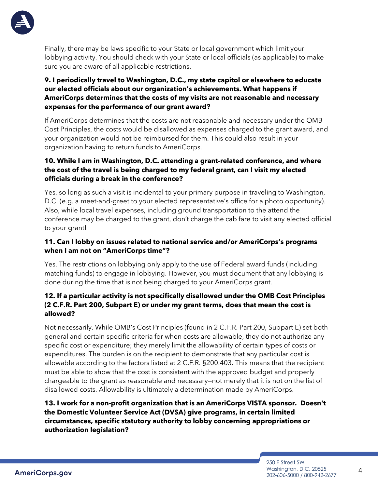

Finally, there may be laws specific to your State or local government which limit your lobbying activity. You should check with your State or local officials (as applicable) to make sure you are aware of all applicable restrictions.

# **9. I periodically travel to Washington, D.C., my state capitol or elsewhere to educate our elected officials about our organization's achievements. What happens if AmeriCorps determines that the costs of my visits are not reasonable and necessary expenses for the performance of our grant award?**

If AmeriCorps determines that the costs are not reasonable and necessary under the OMB Cost Principles, the costs would be disallowed as expenses charged to the grant award, and your organization would not be reimbursed for them. This could also result in your organization having to return funds to AmeriCorps.

# **10. While I am in Washington, D.C. attending a grant-related conference, and where the cost of the travel is being charged to my federal grant, can I visit my elected officials during a break in the conference?**

Yes, so long as such a visit is incidental to your primary purpose in traveling to Washington, D.C. (e.g. a meet-and-greet to your elected representative's office for a photo opportunity). Also, while local travel expenses, including ground transportation to the attend the conference may be charged to the grant, don't charge the cab fare to visit any elected official to your grant!

# **11. Can I lobby on issues related to national service and/or AmeriCorps's programs when I am not on "AmeriCorps time"?**

Yes. The restrictions on lobbying only apply to the use of Federal award funds (including matching funds) to engage in lobbying. However, you must document that any lobbying is done during the time that is not being charged to your AmeriCorps grant.

# **12. If a particular activity is not specifically disallowed under the OMB Cost Principles (2 C.F.R. Part 200, Subpart E) or under my grant terms, does that mean the cost is allowed?**

Not necessarily. While OMB's Cost Principles (found in 2 C.F.R. Part 200, Subpart E) set both general and certain specific criteria for when costs are allowable, they do not authorize any specific cost or expenditure; they merely limit the allowability of certain types of costs or expenditures. The burden is on the recipient to demonstrate that any particular cost is allowable according to the factors listed at 2 C.F.R. §200.403. This means that the recipient must be able to show that the cost is consistent with the approved budget and properly chargeable to the grant as reasonable and necessary—not merely that it is not on the list of disallowed costs. Allowability is ultimately a determination made by AmeriCorps.

# **13. I work for a non-profit organization that is an AmeriCorps VISTA sponsor. Doesn't the Domestic Volunteer Service Act (DVSA) give programs, in certain limited circumstances, specific statutory authority to lobby concerning appropriations or authorization legislation?**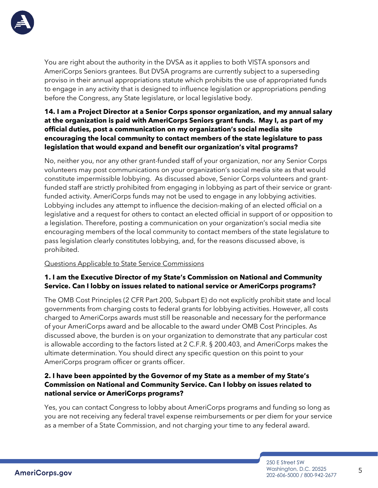

You are right about the authority in the DVSA as it applies to both VISTA sponsors and AmeriCorps Seniors grantees. But DVSA programs are currently subject to a superseding proviso in their annual appropriations statute which prohibits the use of appropriated funds to engage in any activity that is designed to influence legislation or appropriations pending before the Congress, any State legislature, or local legislative body.

### **14. I am a Project Director at a Senior Corps sponsor organization, and my annual salary at the organization is paid with AmeriCorps Seniors grant funds. May I, as part of my official duties, post a communication on my organization's social media site encouraging the local community to contact members of the state legislature to pass legislation that would expand and benefit our organization's vital programs?**

No, neither you, nor any other grant-funded staff of your organization, nor any Senior Corps volunteers may post communications on your organization's social media site as that would constitute impermissible lobbying. As discussed above, Senior Corps volunteers and grantfunded staff are strictly prohibited from engaging in lobbying as part of their service or grantfunded activity. AmeriCorps funds may not be used to engage in any lobbying activities. Lobbying includes any attempt to influence the decision-making of an elected official on a legislative and a request for others to contact an elected official in support of or opposition to a legislation. Therefore, posting a communication on your organization's social media site encouraging members of the local community to contact members of the state legislature to pass legislation clearly constitutes lobbying, and, for the reasons discussed above, is prohibited.

#### Questions Applicable to State Service Commissions

### **1. I am the Executive Director of my State's Commission on National and Community Service. Can I lobby on issues related to national service or AmeriCorps programs?**

The OMB Cost Principles (2 CFR Part 200, Subpart E) do not explicitly prohibit state and local governments from charging costs to federal grants for lobbying activities. However, all costs charged to AmeriCorps awards must still be reasonable and necessary for the performance of your AmeriCorps award and be allocable to the award under OMB Cost Principles. As discussed above, the burden is on your organization to demonstrate that any particular cost is allowable according to the factors listed at 2 C.F.R. § 200.403, and AmeriCorps makes the ultimate determination. You should direct any specific question on this point to your AmeriCorps program officer or grants officer.

### **2. I have been appointed by the Governor of my State as a member of my State's Commission on National and Community Service. Can I lobby on issues related to national service or AmeriCorps programs?**

Yes, you can contact Congress to lobby about AmeriCorps programs and funding so long as you are not receiving any federal travel expense reimbursements or per diem for your service as a member of a State Commission, and not charging your time to any federal award.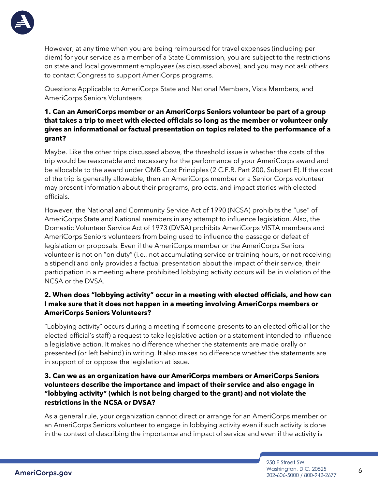

However, at any time when you are being reimbursed for travel expenses (including per diem) for your service as a member of a State Commission, you are subject to the restrictions on state and local government employees (as discussed above), and you may not ask others to contact Congress to support AmeriCorps programs.

Questions Applicable to AmeriCorps State and National Members, Vista Members, and AmeriCorps Seniors Volunteers

### **1. Can an AmeriCorps member or an AmeriCorps Seniors volunteer be part of a group that takes a trip to meet with elected officials so long as the member or volunteer only gives an informational or factual presentation on topics related to the performance of a grant?**

Maybe. Like the other trips discussed above, the threshold issue is whether the costs of the trip would be reasonable and necessary for the performance of your AmeriCorps award and be allocable to the award under OMB Cost Principles (2 C.F.R. Part 200, Subpart E). If the cost of the trip is generally allowable, then an AmeriCorps member or a Senior Corps volunteer may present information about their programs, projects, and impact stories with elected officials.

However, the National and Community Service Act of 1990 (NCSA) prohibits the "use" of AmeriCorps State and National members in any attempt to influence legislation. Also, the Domestic Volunteer Service Act of 1973 (DVSA) prohibits AmeriCorps VISTA members and AmeriCorps Seniors volunteers from being used to influence the passage or defeat of legislation or proposals. Even if the AmeriCorps member or the AmeriCorps Seniors volunteer is not on "on duty" (i.e., not accumulating service or training hours, or not receiving a stipend) and only provides a factual presentation about the impact of their service, their participation in a meeting where prohibited lobbying activity occurs will be in violation of the NCSA or the DVSA.

### **2. When does "lobbying activity" occur in a meeting with elected officials, and how can I make sure that it does not happen in a meeting involving AmeriCorps members or AmeriCorps Seniors Volunteers?**

"Lobbying activity" occurs during a meeting if someone presents to an elected official (or the elected official's staff) a request to take legislative action or a statement intended to influence a legislative action. It makes no difference whether the statements are made orally or presented (or left behind) in writing. It also makes no difference whether the statements are in support of or oppose the legislation at issue.

### **3. Can we as an organization have our AmeriCorps members or AmeriCorps Seniors volunteers describe the importance and impact of their service and also engage in "lobbying activity" (which is not being charged to the grant) and not violate the restrictions in the NCSA or DVSA?**

As a general rule, your organization cannot direct or arrange for an AmeriCorps member or an AmeriCorps Seniors volunteer to engage in lobbying activity even if such activity is done in the context of describing the importance and impact of service and even if the activity is